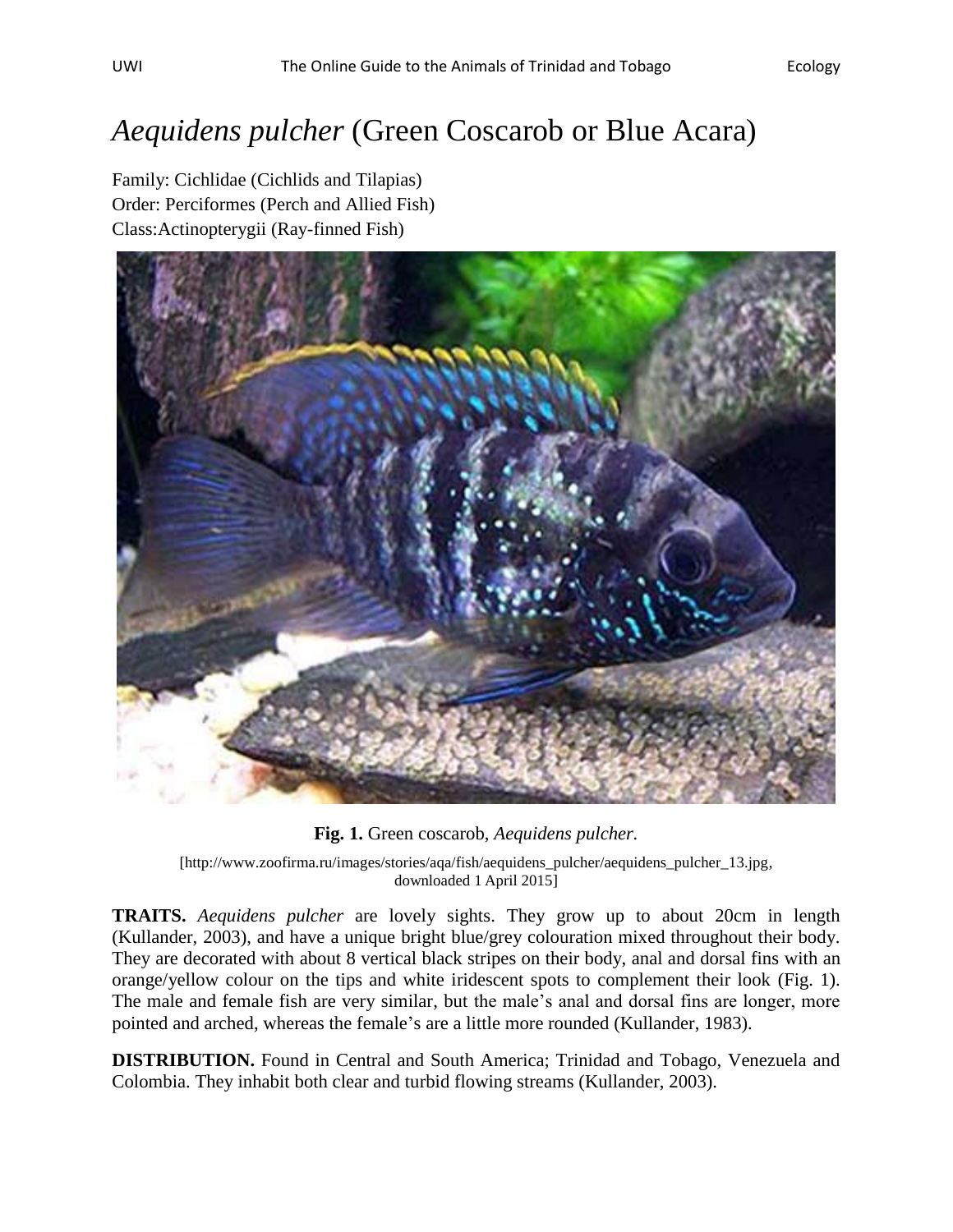## *Aequidens pulcher* (Green Coscarob or Blue Acara)

Family: Cichlidae (Cichlids and Tilapias) Order: Perciformes (Perch and Allied Fish) Class:Actinopterygii (Ray-finned Fish)



**Fig. 1.** Green coscarob, *Aequidens pulcher.*

[http://www.zoofirma.ru/images/stories/aqa/fish/aequidens\_pulcher/aequidens\_pulcher\_13.jpg, downloaded 1 April 2015]

**TRAITS.** *Aequidens pulcher* are lovely sights. They grow up to about 20cm in length (Kullander, 2003), and have a unique bright blue/grey colouration mixed throughout their body. They are decorated with about 8 vertical black stripes on their body, anal and dorsal fins with an orange/yellow colour on the tips and white iridescent spots to complement their look (Fig. 1). The male and female fish are very similar, but the male's anal and dorsal fins are longer, more pointed and arched, whereas the female's are a little more rounded (Kullander, 1983).

**DISTRIBUTION.** Found in Central and South America; Trinidad and Tobago, Venezuela and Colombia. They inhabit both clear and turbid flowing streams (Kullander, 2003).